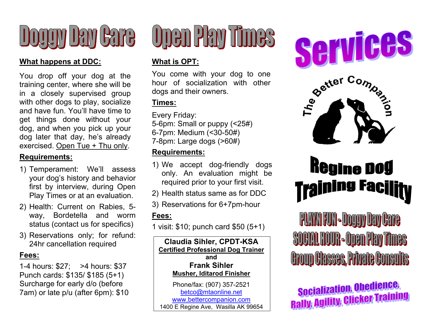

#### **What happens at DDC:**

You drop off your dog at the training center, where she will be in a closely supervised group with other dogs to play, socialize and have fun. You'll have time to get things done without your dog, and when you pick up your dog later that day, he's already exercised. Open Tue + Thu only.

#### **Requirements:**

- 1) Temperament: We'll assess your dog's history and behavior first by interview, during Open Play Times or at an evaluation.
- 2) Health: Current on Rabies, 5 way, Bordetella and worm status (contact us for specifics)
- 3) Reservations only; for refund: 24hr cancellation required

#### **Fees:**

1-4 hours: \$27; >4 hours: \$37 Punch cards: \$135/ \$185 (5+1) Surcharge for early d/o (before 7am) or late p/u (after 6pm): \$10

# Open Play Times

#### **What is OPT:**

You come with your dog to one hour of socialization with other dogs and their owners.

#### **Times:**

Every Friday: 5-6pm: Small or puppy (<25#) 6-7pm: Medium (<30-50#) 7-8pm: Large dogs (>60#)

#### **Requirements:**

- 1) We accept dog-friendly dogs only. An evaluation might be required prior to your first visit.
- 2) Health status same as for DDC
- 3) Reservations for 6+7pm-hour

#### **Fees:**

1 visit: \$10; punch card \$50 (5+1)

**Claudia Sihler, CPDT-KSA Certified Professional Dog Trainer and Frank Sihler Musher, Iditarod Finisher** 

1400 E Regine Ave, Wasilla AK 99654 Phone/fax: (907) 357-2521 betco@mtaonline.net www.bettercompanion.com





### Regine Dog **frajning Fac**j

PLAYAHUN-DOQQYDEYGAG **SOCHLHOUR-ODEN Play Times Croup Classes, Princip Consults** 

**Socialization, Obedience, Socialization, Observations**